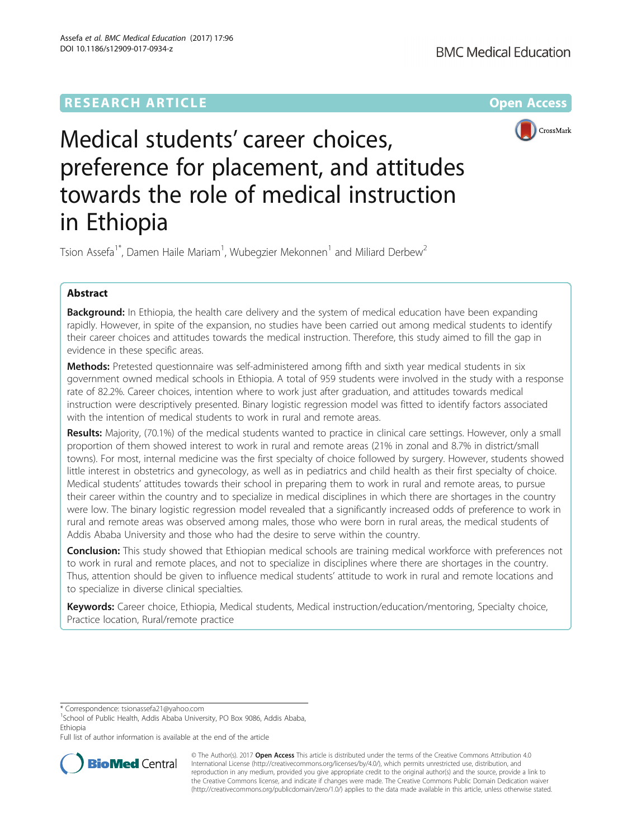

# Medical students' career choices, preference for placement, and attitudes towards the role of medical instruction in Ethiopia

Tsion Assefa<sup>1\*</sup>, Damen Haile Mariam<sup>1</sup>, Wubegzier Mekonnen<sup>1</sup> and Miliard Derbew<sup>2</sup>

# Abstract

Background: In Ethiopia, the health care delivery and the system of medical education have been expanding rapidly. However, in spite of the expansion, no studies have been carried out among medical students to identify their career choices and attitudes towards the medical instruction. Therefore, this study aimed to fill the gap in evidence in these specific areas.

Methods: Pretested questionnaire was self-administered among fifth and sixth year medical students in six government owned medical schools in Ethiopia. A total of 959 students were involved in the study with a response rate of 82.2%. Career choices, intention where to work just after graduation, and attitudes towards medical instruction were descriptively presented. Binary logistic regression model was fitted to identify factors associated with the intention of medical students to work in rural and remote areas.

Results: Majority, (70.1%) of the medical students wanted to practice in clinical care settings. However, only a small proportion of them showed interest to work in rural and remote areas (21% in zonal and 8.7% in district/small towns). For most, internal medicine was the first specialty of choice followed by surgery. However, students showed little interest in obstetrics and gynecology, as well as in pediatrics and child health as their first specialty of choice. Medical students' attitudes towards their school in preparing them to work in rural and remote areas, to pursue their career within the country and to specialize in medical disciplines in which there are shortages in the country were low. The binary logistic regression model revealed that a significantly increased odds of preference to work in rural and remote areas was observed among males, those who were born in rural areas, the medical students of Addis Ababa University and those who had the desire to serve within the country.

**Conclusion:** This study showed that Ethiopian medical schools are training medical workforce with preferences not to work in rural and remote places, and not to specialize in disciplines where there are shortages in the country. Thus, attention should be given to influence medical students' attitude to work in rural and remote locations and to specialize in diverse clinical specialties.

Keywords: Career choice, Ethiopia, Medical students, Medical instruction/education/mentoring, Specialty choice, Practice location, Rural/remote practice

\* Correspondence: [tsionassefa21@yahoo.com](mailto:tsionassefa21@yahoo.com) <sup>1</sup>

<sup>1</sup>School of Public Health, Addis Ababa University, PO Box 9086, Addis Ababa, Ethiopia

Full list of author information is available at the end of the article



© The Author(s). 2017 **Open Access** This article is distributed under the terms of the Creative Commons Attribution 4.0 International License [\(http://creativecommons.org/licenses/by/4.0/](http://creativecommons.org/licenses/by/4.0/)), which permits unrestricted use, distribution, and reproduction in any medium, provided you give appropriate credit to the original author(s) and the source, provide a link to the Creative Commons license, and indicate if changes were made. The Creative Commons Public Domain Dedication waiver [\(http://creativecommons.org/publicdomain/zero/1.0/](http://creativecommons.org/publicdomain/zero/1.0/)) applies to the data made available in this article, unless otherwise stated.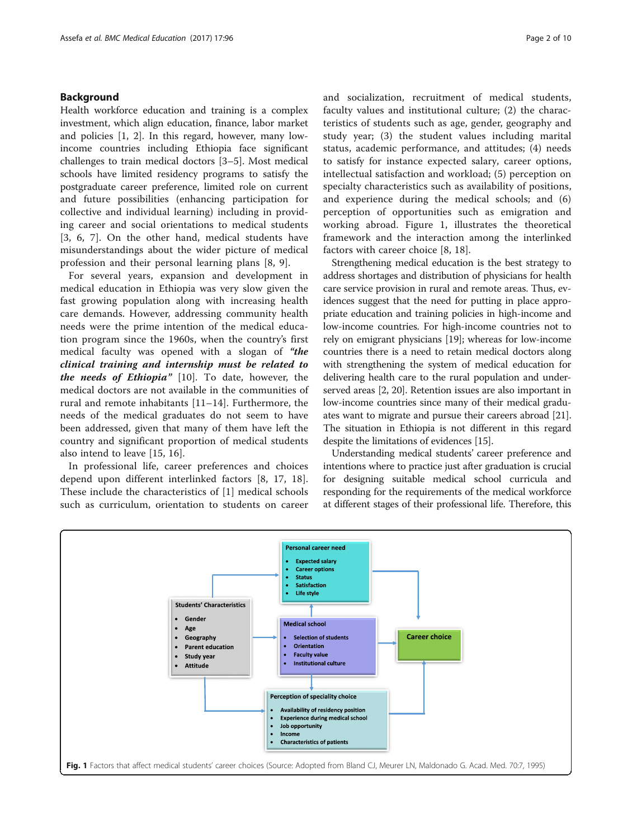# Background

Health workforce education and training is a complex investment, which align education, finance, labor market and policies [\[1](#page-8-0), [2\]](#page-8-0). In this regard, however, many lowincome countries including Ethiopia face significant challenges to train medical doctors [\[3](#page-8-0)–[5](#page-8-0)]. Most medical schools have limited residency programs to satisfy the postgraduate career preference, limited role on current and future possibilities (enhancing participation for collective and individual learning) including in providing career and social orientations to medical students [[3, 6](#page-8-0), [7](#page-8-0)]. On the other hand, medical students have misunderstandings about the wider picture of medical profession and their personal learning plans [\[8](#page-8-0), [9](#page-8-0)].

For several years, expansion and development in medical education in Ethiopia was very slow given the fast growing population along with increasing health care demands. However, addressing community health needs were the prime intention of the medical education program since the 1960s, when the country's first medical faculty was opened with a slogan of "the clinical training and internship must be related to the needs of Ethiopia" [[10\]](#page-8-0). To date, however, the medical doctors are not available in the communities of rural and remote inhabitants [\[11](#page-8-0)–[14](#page-8-0)]. Furthermore, the needs of the medical graduates do not seem to have been addressed, given that many of them have left the country and significant proportion of medical students also intend to leave [[15, 16\]](#page-8-0).

In professional life, career preferences and choices depend upon different interlinked factors [[8, 17, 18](#page-8-0)]. These include the characteristics of [1] medical schools such as curriculum, orientation to students on career and socialization, recruitment of medical students, faculty values and institutional culture; (2) the characteristics of students such as age, gender, geography and study year; (3) the student values including marital status, academic performance, and attitudes; (4) needs to satisfy for instance expected salary, career options, intellectual satisfaction and workload; (5) perception on specialty characteristics such as availability of positions, and experience during the medical schools; and (6) perception of opportunities such as emigration and working abroad. Figure 1, illustrates the theoretical framework and the interaction among the interlinked factors with career choice [\[8](#page-8-0), [18](#page-8-0)].

Strengthening medical education is the best strategy to address shortages and distribution of physicians for health care service provision in rural and remote areas. Thus, evidences suggest that the need for putting in place appropriate education and training policies in high-income and low-income countries. For high-income countries not to rely on emigrant physicians [[19](#page-8-0)]; whereas for low-income countries there is a need to retain medical doctors along with strengthening the system of medical education for delivering health care to the rural population and underserved areas [\[2](#page-8-0), [20\]](#page-8-0). Retention issues are also important in low-income countries since many of their medical graduates want to migrate and pursue their careers abroad [[21](#page-8-0)]. The situation in Ethiopia is not different in this regard despite the limitations of evidences [\[15\]](#page-8-0).

Understanding medical students' career preference and intentions where to practice just after graduation is crucial for designing suitable medical school curricula and responding for the requirements of the medical workforce at different stages of their professional life. Therefore, this

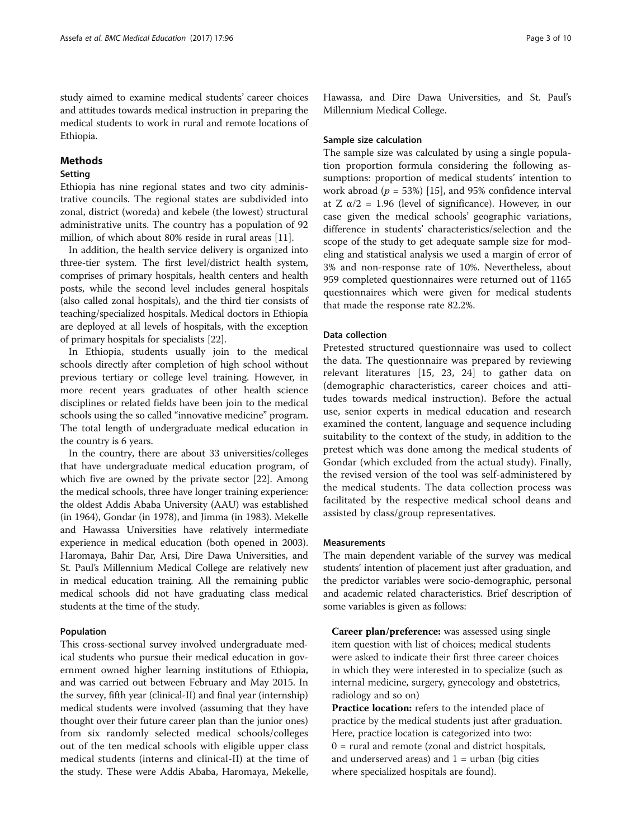study aimed to examine medical students' career choices and attitudes towards medical instruction in preparing the medical students to work in rural and remote locations of Ethiopia.

# Methods

# Setting

Ethiopia has nine regional states and two city administrative councils. The regional states are subdivided into zonal, district (woreda) and kebele (the lowest) structural administrative units. The country has a population of 92 million, of which about 80% reside in rural areas [\[11\]](#page-8-0).

In addition, the health service delivery is organized into three-tier system. The first level/district health system, comprises of primary hospitals, health centers and health posts, while the second level includes general hospitals (also called zonal hospitals), and the third tier consists of teaching/specialized hospitals. Medical doctors in Ethiopia are deployed at all levels of hospitals, with the exception of primary hospitals for specialists [[22](#page-8-0)].

In Ethiopia, students usually join to the medical schools directly after completion of high school without previous tertiary or college level training. However, in more recent years graduates of other health science disciplines or related fields have been join to the medical schools using the so called "innovative medicine" program. The total length of undergraduate medical education in the country is 6 years.

In the country, there are about 33 universities/colleges that have undergraduate medical education program, of which five are owned by the private sector [[22](#page-8-0)]. Among the medical schools, three have longer training experience: the oldest Addis Ababa University (AAU) was established (in 1964), Gondar (in 1978), and Jimma (in 1983). Mekelle and Hawassa Universities have relatively intermediate experience in medical education (both opened in 2003). Haromaya, Bahir Dar, Arsi, Dire Dawa Universities, and St. Paul's Millennium Medical College are relatively new in medical education training. All the remaining public medical schools did not have graduating class medical students at the time of the study.

## Population

This cross-sectional survey involved undergraduate medical students who pursue their medical education in government owned higher learning institutions of Ethiopia, and was carried out between February and May 2015. In the survey, fifth year (clinical-II) and final year (internship) medical students were involved (assuming that they have thought over their future career plan than the junior ones) from six randomly selected medical schools/colleges out of the ten medical schools with eligible upper class medical students (interns and clinical-II) at the time of the study. These were Addis Ababa, Haromaya, Mekelle,

Hawassa, and Dire Dawa Universities, and St. Paul's Millennium Medical College.

## Sample size calculation

The sample size was calculated by using a single population proportion formula considering the following assumptions: proportion of medical students' intention to work abroad ( $p = 53\%$ ) [[15\]](#page-8-0), and 95% confidence interval at Z  $\alpha/2$  = 1.96 (level of significance). However, in our case given the medical schools' geographic variations, difference in students' characteristics/selection and the scope of the study to get adequate sample size for modeling and statistical analysis we used a margin of error of 3% and non-response rate of 10%. Nevertheless, about 959 completed questionnaires were returned out of 1165 questionnaires which were given for medical students that made the response rate 82.2%.

# Data collection

Pretested structured questionnaire was used to collect the data. The questionnaire was prepared by reviewing relevant literatures [[15](#page-8-0), [23](#page-8-0), [24](#page-8-0)] to gather data on (demographic characteristics, career choices and attitudes towards medical instruction). Before the actual use, senior experts in medical education and research examined the content, language and sequence including suitability to the context of the study, in addition to the pretest which was done among the medical students of Gondar (which excluded from the actual study). Finally, the revised version of the tool was self-administered by the medical students. The data collection process was facilitated by the respective medical school deans and assisted by class/group representatives.

# Measurements

The main dependent variable of the survey was medical students' intention of placement just after graduation, and the predictor variables were socio-demographic, personal and academic related characteristics. Brief description of some variables is given as follows:

Career plan/preference: was assessed using single item question with list of choices; medical students were asked to indicate their first three career choices in which they were interested in to specialize (such as internal medicine, surgery, gynecology and obstetrics, radiology and so on)

**Practice location:** refers to the intended place of practice by the medical students just after graduation. Here, practice location is categorized into two:  $0 =$  rural and remote (zonal and district hospitals, and underserved areas) and  $1 =$  urban (big cities where specialized hospitals are found).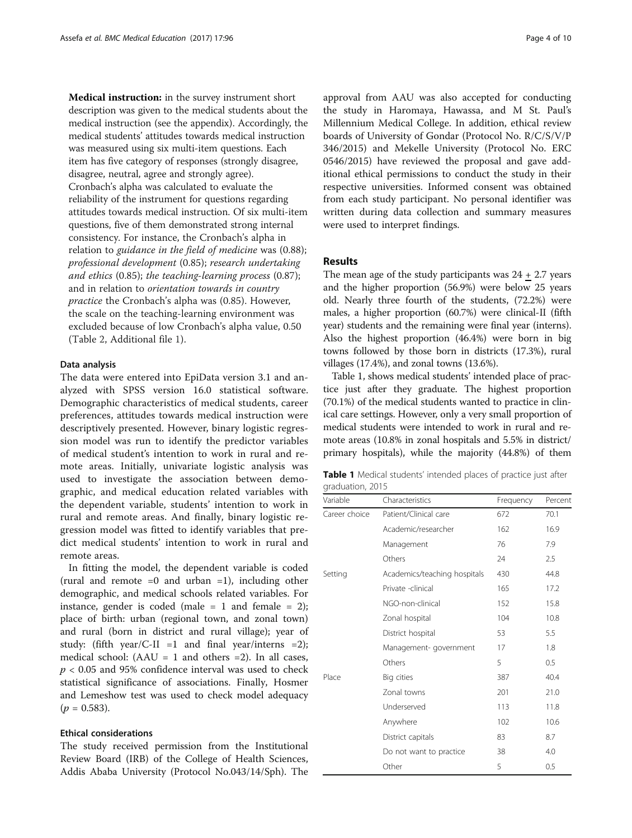Medical instruction: in the survey instrument short description was given to the medical students about the medical instruction (see the appendix). Accordingly, the medical students' attitudes towards medical instruction was measured using six multi-item questions. Each item has five category of responses (strongly disagree, disagree, neutral, agree and strongly agree). Cronbach's alpha was calculated to evaluate the reliability of the instrument for questions regarding attitudes towards medical instruction. Of six multi-item questions, five of them demonstrated strong internal consistency. For instance, the Cronbach's alpha in relation to guidance in the field of medicine was (0.88); professional development (0.85); research undertaking and ethics (0.85); the teaching-learning process (0.87); and in relation to orientation towards in country practice the Cronbach's alpha was (0.85). However, the scale on the teaching-learning environment was excluded because of low Cronbach's alpha value, 0.50 (Table [2,](#page-6-0) Additional file [1](#page-7-0)).

# Data analysis

The data were entered into EpiData version 3.1 and analyzed with SPSS version 16.0 statistical software. Demographic characteristics of medical students, career preferences, attitudes towards medical instruction were descriptively presented. However, binary logistic regression model was run to identify the predictor variables of medical student's intention to work in rural and remote areas. Initially, univariate logistic analysis was used to investigate the association between demographic, and medical education related variables with the dependent variable, students' intention to work in rural and remote areas. And finally, binary logistic regression model was fitted to identify variables that predict medical students' intention to work in rural and remote areas.

In fitting the model, the dependent variable is coded (rural and remote  $=0$  and urban  $=1$ ), including other demographic, and medical schools related variables. For instance, gender is coded (male  $= 1$  and female  $= 2$ ); place of birth: urban (regional town, and zonal town) and rural (born in district and rural village); year of study: (fifth year/C-II =1 and final year/interns =2); medical school:  $(AAU = 1$  and others  $=2$ ). In all cases,  $p < 0.05$  and 95% confidence interval was used to check statistical significance of associations. Finally, Hosmer and Lemeshow test was used to check model adequacy  $(p = 0.583)$ .

## Ethical considerations

The study received permission from the Institutional Review Board (IRB) of the College of Health Sciences, Addis Ababa University (Protocol No.043/14/Sph). The approval from AAU was also accepted for conducting the study in Haromaya, Hawassa, and M St. Paul's Millennium Medical College. In addition, ethical review boards of University of Gondar (Protocol No. R/C/S/V/P 346/2015) and Mekelle University (Protocol No. ERC 0546/2015) have reviewed the proposal and gave additional ethical permissions to conduct the study in their respective universities. Informed consent was obtained from each study participant. No personal identifier was written during data collection and summary measures were used to interpret findings.

# Results

The mean age of the study participants was  $24 + 2.7$  years and the higher proportion (56.9%) were below 25 years old. Nearly three fourth of the students, (72.2%) were males, a higher proportion (60.7%) were clinical-II (fifth year) students and the remaining were final year (interns). Also the highest proportion (46.4%) were born in big towns followed by those born in districts (17.3%), rural villages (17.4%), and zonal towns (13.6%).

Table 1, shows medical students' intended place of practice just after they graduate. The highest proportion (70.1%) of the medical students wanted to practice in clinical care settings. However, only a very small proportion of medical students were intended to work in rural and remote areas (10.8% in zonal hospitals and 5.5% in district/ primary hospitals), while the majority (44.8%) of them

Table 1 Medical students' intended places of practice just after graduation, 2015

| Variable      | Characteristics              | Frequency | Percent |
|---------------|------------------------------|-----------|---------|
| Career choice | Patient/Clinical care        | 672       | 70.1    |
|               | Academic/researcher          | 162       | 16.9    |
|               | Management                   | 76        | 7.9     |
|               | Others                       | 24        | 2.5     |
| Setting       | Academics/teaching hospitals | 430       | 44.8    |
|               | Private -clinical            | 165       | 17.2    |
|               | NGO-non-clinical             | 152       | 15.8    |
|               | Zonal hospital               | 104       | 10.8    |
|               | District hospital            | 53        | 5.5     |
|               | Management- government       | 17        | 1.8     |
|               | Others                       | 5         | 0.5     |
| Place         | Big cities                   | 387       | 40.4    |
|               | Zonal towns                  | 201       | 21.0    |
|               | Underserved                  | 113       | 11.8    |
|               | Anywhere                     | 102       | 10.6    |
|               | District capitals            | 83        | 8.7     |
|               | Do not want to practice      | 38        | 4.0     |
|               | Other                        | 5         | 0.5     |
|               |                              |           |         |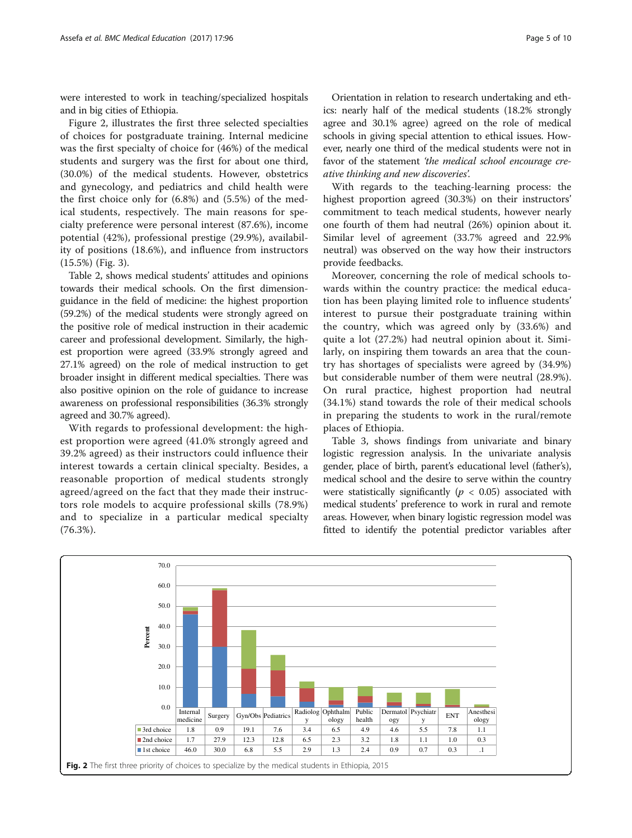were interested to work in teaching/specialized hospitals and in big cities of Ethiopia.

Figure 2, illustrates the first three selected specialties of choices for postgraduate training. Internal medicine was the first specialty of choice for (46%) of the medical students and surgery was the first for about one third, (30.0%) of the medical students. However, obstetrics and gynecology, and pediatrics and child health were the first choice only for (6.8%) and (5.5%) of the medical students, respectively. The main reasons for specialty preference were personal interest (87.6%), income potential (42%), professional prestige (29.9%), availability of positions (18.6%), and influence from instructors (15.5%) (Fig. [3](#page-5-0)).

Table [2](#page-6-0), shows medical students' attitudes and opinions towards their medical schools. On the first dimensionguidance in the field of medicine: the highest proportion (59.2%) of the medical students were strongly agreed on the positive role of medical instruction in their academic career and professional development. Similarly, the highest proportion were agreed (33.9% strongly agreed and 27.1% agreed) on the role of medical instruction to get broader insight in different medical specialties. There was also positive opinion on the role of guidance to increase awareness on professional responsibilities (36.3% strongly agreed and 30.7% agreed).

With regards to professional development: the highest proportion were agreed (41.0% strongly agreed and 39.2% agreed) as their instructors could influence their interest towards a certain clinical specialty. Besides, a reasonable proportion of medical students strongly agreed/agreed on the fact that they made their instructors role models to acquire professional skills (78.9%) and to specialize in a particular medical specialty (76.3%).

Orientation in relation to research undertaking and ethics: nearly half of the medical students (18.2% strongly agree and 30.1% agree) agreed on the role of medical schools in giving special attention to ethical issues. However, nearly one third of the medical students were not in favor of the statement 'the medical school encourage creative thinking and new discoveries'.

With regards to the teaching-learning process: the highest proportion agreed (30.3%) on their instructors' commitment to teach medical students, however nearly one fourth of them had neutral (26%) opinion about it. Similar level of agreement (33.7% agreed and 22.9% neutral) was observed on the way how their instructors provide feedbacks.

Moreover, concerning the role of medical schools towards within the country practice: the medical education has been playing limited role to influence students' interest to pursue their postgraduate training within the country, which was agreed only by (33.6%) and quite a lot (27.2%) had neutral opinion about it. Similarly, on inspiring them towards an area that the country has shortages of specialists were agreed by (34.9%) but considerable number of them were neutral (28.9%). On rural practice, highest proportion had neutral (34.1%) stand towards the role of their medical schools in preparing the students to work in the rural/remote places of Ethiopia.

Table [3](#page-7-0), shows findings from univariate and binary logistic regression analysis. In the univariate analysis gender, place of birth, parent's educational level (father's), medical school and the desire to serve within the country were statistically significantly ( $p < 0.05$ ) associated with medical students' preference to work in rural and remote areas. However, when binary logistic regression model was fitted to identify the potential predictor variables after

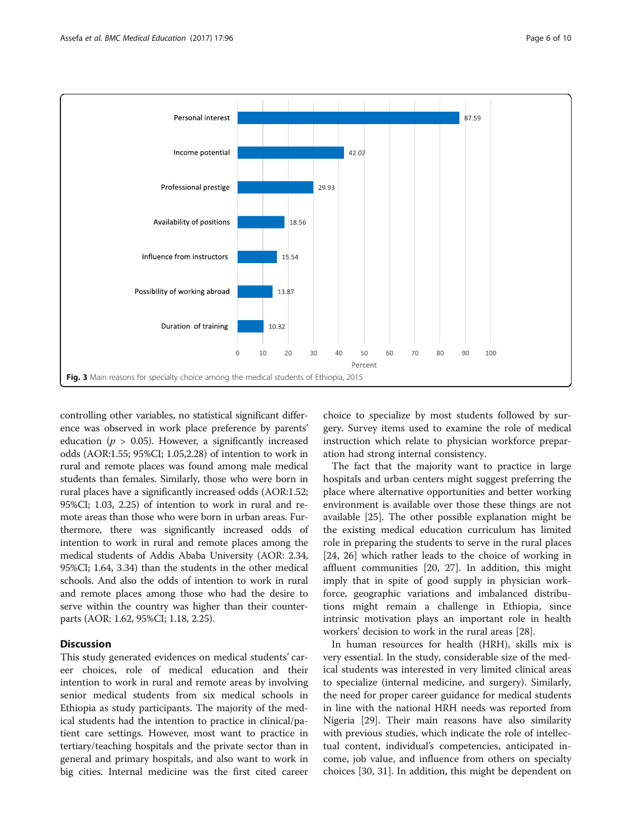<span id="page-5-0"></span>

controlling other variables, no statistical significant difference was observed in work place preference by parents' education ( $p > 0.05$ ). However, a significantly increased odds (AOR:1.55; 95%CI; 1.05,2.28) of intention to work in rural and remote places was found among male medical students than females. Similarly, those who were born in rural places have a significantly increased odds (AOR:1.52; 95%CI; 1.03, 2.25) of intention to work in rural and remote areas than those who were born in urban areas. Furthermore, there was significantly increased odds of intention to work in rural and remote places among the medical students of Addis Ababa University (AOR: 2.34, 95%CI; 1.64, 3.34) than the students in the other medical schools. And also the odds of intention to work in rural and remote places among those who had the desire to serve within the country was higher than their counterparts (AOR: 1.62, 95%CI; 1.18, 2.25).

# **Discussion**

This study generated evidences on medical students' career choices, role of medical education and their intention to work in rural and remote areas by involving senior medical students from six medical schools in Ethiopia as study participants. The majority of the medical students had the intention to practice in clinical/patient care settings. However, most want to practice in tertiary/teaching hospitals and the private sector than in general and primary hospitals, and also want to work in big cities. Internal medicine was the first cited career

choice to specialize by most students followed by surgery. Survey items used to examine the role of medical instruction which relate to physician workforce preparation had strong internal consistency.

The fact that the majority want to practice in large hospitals and urban centers might suggest preferring the place where alternative opportunities and better working environment is available over those these things are not available [[25\]](#page-8-0). The other possible explanation might be the existing medical education curriculum has limited role in preparing the students to serve in the rural places [[24, 26\]](#page-8-0) which rather leads to the choice of working in affluent communities [\[20](#page-8-0), [27](#page-8-0)]. In addition, this might imply that in spite of good supply in physician workforce, geographic variations and imbalanced distributions might remain a challenge in Ethiopia, since intrinsic motivation plays an important role in health workers' decision to work in the rural areas [\[28](#page-8-0)].

In human resources for health (HRH), skills mix is very essential. In the study, considerable size of the medical students was interested in very limited clinical areas to specialize (internal medicine, and surgery). Similarly, the need for proper career guidance for medical students in line with the national HRH needs was reported from Nigeria [\[29](#page-9-0)]. Their main reasons have also similarity with previous studies, which indicate the role of intellectual content, individual's competencies, anticipated income, job value, and influence from others on specialty choices [[30, 31\]](#page-9-0). In addition, this might be dependent on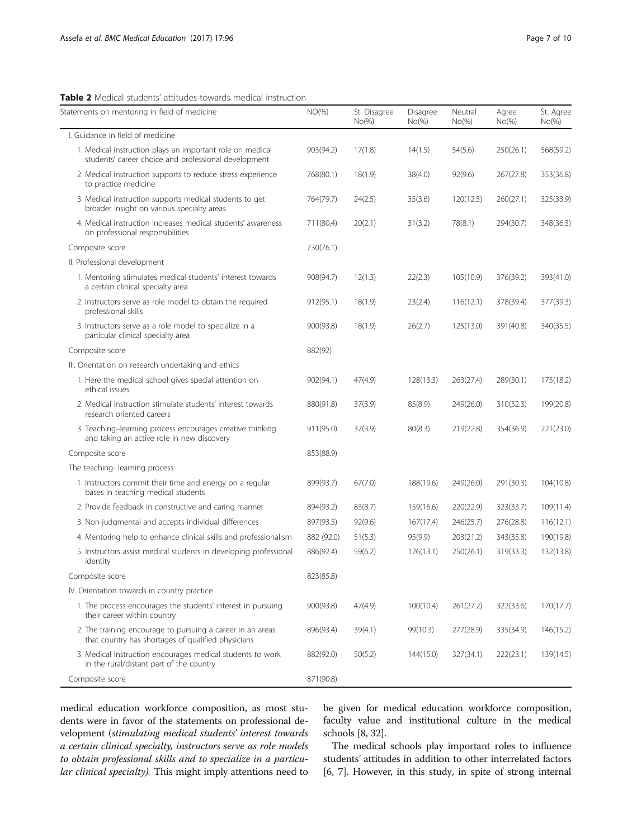# <span id="page-6-0"></span>Table 2 Medical students' attitudes towards medical instruction

| Statements on mentoring in field of medicine                                                                      | NO(%)      | St. Disagree<br>$No(\%)$ | Disagree<br>$No(\%)$ | Neutral<br>$No(\%)$ | Agree<br>$No(\%)$ | St. Agree<br>$No(\%)$ |
|-------------------------------------------------------------------------------------------------------------------|------------|--------------------------|----------------------|---------------------|-------------------|-----------------------|
| I. Guidance in field of medicine                                                                                  |            |                          |                      |                     |                   |                       |
| 1. Medical instruction plays an important role on medical<br>students' career choice and professional development | 903(94.2)  | 17(1.8)                  | 14(1.5)              | 54(5.6)             | 250(26.1)         | 568(59.2)             |
| 2. Medical instruction supports to reduce stress experience<br>to practice medicine                               | 768(80.1)  | 18(1.9)                  | 38(4.0)              | 92(9.6)             | 267(27.8)         | 353(36.8)             |
| 3. Medical instruction supports medical students to get<br>broader insight on various specialty areas             | 764(79.7)  | 24(2.5)                  | 35(3.6)              | 120(12.5)           | 260(27.1)         | 325(33.9)             |
| 4. Medical instruction increases medical students' awareness<br>on professional responsibilities                  | 711(80.4)  | 20(2.1)                  | 31(3.2)              | 78(8.1)             | 294(30.7)         | 348(36.3)             |
| Composite score                                                                                                   | 730(76.1)  |                          |                      |                     |                   |                       |
| II. Professional development                                                                                      |            |                          |                      |                     |                   |                       |
| 1. Mentoring stimulates medical students' interest towards<br>a certain clinical specialty area                   | 908(94.7)  | 12(1.3)                  | 22(2.3)              | 105(10.9)           | 376(39.2)         | 393(41.0)             |
| 2. Instructors serve as role model to obtain the required<br>professional skills                                  | 912(95.1)  | 18(1.9)                  | 23(2.4)              | 116(12.1)           | 378(39.4)         | 377(39.3)             |
| 3. Instructors serve as a role model to specialize in a<br>particular clinical specialty area                     | 900(93.8)  | 18(1.9)                  | 26(2.7)              | 125(13.0)           | 391(40.8)         | 340(35.5)             |
| Composite score                                                                                                   | 882(92)    |                          |                      |                     |                   |                       |
| III. Orientation on research undertaking and ethics                                                               |            |                          |                      |                     |                   |                       |
| 1. Here the medical school gives special attention on<br>ethical issues                                           | 902(94.1)  | 47(4.9)                  | 128(13.3)            | 263(27.4)           | 289(30.1)         | 175(18.2)             |
| 2. Medical instruction stimulate students' interest towards<br>research oriented careers                          | 880(91.8)  | 37(3.9)                  | 85(8.9)              | 249(26.0)           | 310(32.3)         | 199(20.8)             |
| 3. Teaching-learning process encourages creative thinking<br>and taking an active role in new discovery           | 911(95.0)  | 37(3.9)                  | 80(8.3)              | 219(22.8)           | 354(36.9)         | 221(23.0)             |
| Composite score                                                                                                   | 853(88.9)  |                          |                      |                     |                   |                       |
| The teaching-learning process                                                                                     |            |                          |                      |                     |                   |                       |
| 1. Instructors commit their time and energy on a regular<br>bases in teaching medical students                    | 899(93.7)  | 67(7.0)                  | 188(19.6)            | 249(26.0)           | 291(30.3)         | 104(10.8)             |
| 2. Provide feedback in constructive and caring manner                                                             | 894(93.2)  | 83(8.7)                  | 159(16.6)            | 220(22.9)           | 323(33.7)         | 109(11.4)             |
| 3. Non-judgmental and accepts individual differences                                                              | 897(93.5)  | 92(9.6)                  | 167(17.4)            | 246(25.7)           | 276(28.8)         | 116(12.1)             |
| 4. Mentoring help to enhance clinical skills and professionalism                                                  | 882 (92.0) | 51(5.3)                  | 95(9.9)              | 203(21.2)           | 343(35.8)         | 190(19.8)             |
| 5. Instructors assist medical students in developing professional<br>identity                                     | 886(92.4)  | 59(6.2)                  | 126(13.1)            | 250(26.1)           | 319(33.3)         | 132(13.8)             |
| Composite score                                                                                                   | 823(85.8)  |                          |                      |                     |                   |                       |
| IV. Orientation towards in country practice                                                                       |            |                          |                      |                     |                   |                       |
| 1. The process encourages the students' interest in pursuing<br>their career within country                       | 900(93.8)  | 47(4.9)                  | 100(10.4)            | 261(27.2)           | 322(33.6)         | 170(17.7)             |
| 2. The training encourage to pursuing a career in an areas<br>that country has shortages of qualified physicians  | 896(93.4)  | 39(4.1)                  | 99(10.3)             | 277(28.9)           | 335(34.9)         | 146(15.2)             |
| 3. Medical instruction encourages medical students to work<br>in the rural/distant part of the country            | 882(92.0)  | 50(5.2)                  | 144(15.0)            | 327(34.1)           | 222(23.1)         | 139(14.5)             |
| Composite score                                                                                                   | 871(90.8)  |                          |                      |                     |                   |                       |

medical education workforce composition, as most students were in favor of the statements on professional development (stimulating medical students' interest towards a certain clinical specialty, instructors serve as role models to obtain professional skills and to specialize in a particular clinical specialty). This might imply attentions need to be given for medical education workforce composition, faculty value and institutional culture in the medical schools [[8,](#page-8-0) [32](#page-9-0)].

The medical schools play important roles to influence students' attitudes in addition to other interrelated factors [[6, 7\]](#page-8-0). However, in this study, in spite of strong internal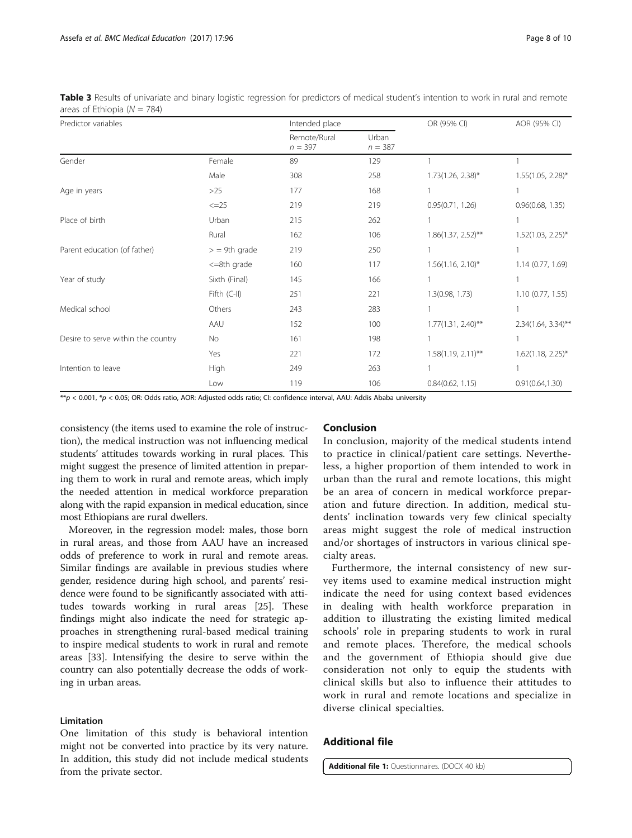<span id="page-7-0"></span>Table 3 Results of univariate and binary logistic regression for predictors of medical student's intention to work in rural and remote areas of Ethiopia  $(N = 784)$ 

| Predictor variables                |                                           | Intended place     |     | OR (95% CI)            | AOR (95% CI)           |  |
|------------------------------------|-------------------------------------------|--------------------|-----|------------------------|------------------------|--|
|                                    | Remote/Rural<br>$n = 397$<br>Female<br>89 | Urban<br>$n = 387$ |     |                        |                        |  |
| Gender                             |                                           |                    | 129 |                        |                        |  |
|                                    | Male                                      | 308                | 258 | $1.73(1.26, 2.38)$ *   | $1.55(1.05, 2.28)^{*}$ |  |
| Age in years                       | $>25$                                     | 177                | 168 |                        |                        |  |
|                                    | $\leq$ = 25                               | 219                | 219 | 0.95(0.71, 1.26)       | 0.96(0.68, 1.35)       |  |
| Place of birth                     | Urban                                     | 215                | 262 |                        |                        |  |
|                                    | Rural                                     | 162                | 106 | $1.86(1.37, 2.52)$ **  | $1.52(1.03, 2.25)^{*}$ |  |
| Parent education (of father)       | $>$ = 9th grade                           | 219                | 250 |                        |                        |  |
|                                    | <= 8th grade                              | 160                | 117 | $1.56(1.16, 2.10)^{*}$ | 1.14(0.77, 1.69)       |  |
| Year of study                      | Sixth (Final)                             | 145                | 166 |                        |                        |  |
|                                    | Fifth (C-II)                              | 251                | 221 | 1.3(0.98, 1.73)        | 1.10(0.77, 1.55)       |  |
| Medical school                     | Others                                    | 243                | 283 |                        |                        |  |
|                                    | AAU                                       | 152                | 100 | $1.77(1.31, 2.40)$ **  | $2.34(1.64, 3.34)$ **  |  |
| Desire to serve within the country | No                                        | 161                | 198 |                        |                        |  |
|                                    | Yes                                       | 221                | 172 | $1.58(1.19, 2.11)$ **  | $1.62(1.18, 2.25)^*$   |  |
| Intention to leave                 | High                                      | 249                | 263 |                        |                        |  |
|                                    | Low                                       | 119                | 106 | 0.84(0.62, 1.15)       | 0.91(0.64, 1.30)       |  |

 $*p$  < 0.001,  $*p$  < 0.05; OR: Odds ratio, AOR: Adjusted odds ratio; CI: confidence interval, AAU: Addis Ababa university

consistency (the items used to examine the role of instruction), the medical instruction was not influencing medical students' attitudes towards working in rural places. This might suggest the presence of limited attention in preparing them to work in rural and remote areas, which imply the needed attention in medical workforce preparation along with the rapid expansion in medical education, since most Ethiopians are rural dwellers.

Moreover, in the regression model: males, those born in rural areas, and those from AAU have an increased odds of preference to work in rural and remote areas. Similar findings are available in previous studies where gender, residence during high school, and parents' residence were found to be significantly associated with attitudes towards working in rural areas [\[25\]](#page-8-0). These findings might also indicate the need for strategic approaches in strengthening rural-based medical training to inspire medical students to work in rural and remote areas [[33\]](#page-9-0). Intensifying the desire to serve within the country can also potentially decrease the odds of working in urban areas.

# Limitation

One limitation of this study is behavioral intention might not be converted into practice by its very nature. In addition, this study did not include medical students from the private sector.

# Conclusion

In conclusion, majority of the medical students intend to practice in clinical/patient care settings. Nevertheless, a higher proportion of them intended to work in urban than the rural and remote locations, this might be an area of concern in medical workforce preparation and future direction. In addition, medical students' inclination towards very few clinical specialty areas might suggest the role of medical instruction and/or shortages of instructors in various clinical specialty areas.

Furthermore, the internal consistency of new survey items used to examine medical instruction might indicate the need for using context based evidences in dealing with health workforce preparation in addition to illustrating the existing limited medical schools' role in preparing students to work in rural and remote places. Therefore, the medical schools and the government of Ethiopia should give due consideration not only to equip the students with clinical skills but also to influence their attitudes to work in rural and remote locations and specialize in diverse clinical specialties.

# Additional file

[Additional file 1:](dx.doi.org/10.1186/s12909-017-0934-z) Questionnaires. (DOCX 40 kb)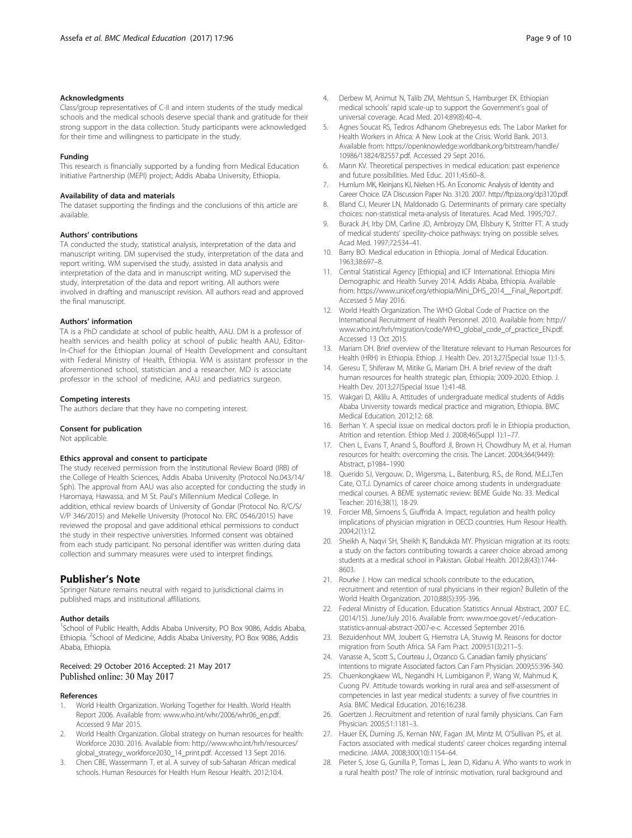## <span id="page-8-0"></span>Acknowledgments

Class/group representatives of C-II and intern students of the study medical schools and the medical schools deserve special thank and gratitude for their strong support in the data collection. Study participants were acknowledged for their time and willingness to participate in the study.

#### Funding

This research is financially supported by a funding from Medical Education Initiative Partnership (MEPI) project; Addis Ababa University, Ethiopia.

### Availability of data and materials

The dataset supporting the findings and the conclusions of this article are available.

#### Authors' contributions

TA conducted the study, statistical analysis, interpretation of the data and manuscript writing. DM supervised the study, interpretation of the data and report writing. WM supervised the study, assisted in data analysis and interpretation of the data and in manuscript writing. MD supervised the study, interpretation of the data and report writing. All authors were involved in drafting and manuscript revision. All authors read and approved the final manuscript.

## Authors' information

TA is a PhD candidate at school of public health, AAU. DM is a professor of health services and health policy at school of public health AAU, Editor-In-Chief for the Ethiopian Journal of Health Development and consultant with Federal Ministry of Health, Ethiopia. WM is assistant professor in the aforementioned school, statistician and a researcher. MD is associate professor in the school of medicine, AAU and pediatrics surgeon.

#### Competing interests

The authors declare that they have no competing interest.

#### Consent for publication

Not applicable.

#### Ethics approval and consent to participate

The study received permission from the Institutional Review Board (IRB) of the College of Health Sciences, Addis Ababa University (Protocol No.043/14/ Sph). The approval from AAU was also accepted for conducting the study in Haromaya, Hawassa, and M St. Paul's Millennium Medical College. In addition, ethical review boards of University of Gondar (Protocol No. R/C/S/ V/P 346/2015) and Mekelle University (Protocol No. ERC 0546/2015) have reviewed the proposal and gave additional ethical permissions to conduct the study in their respective universities. Informed consent was obtained from each study participant. No personal identifier was written during data collection and summary measures were used to interpret findings.

## Publisher's Note

Springer Nature remains neutral with regard to jurisdictional claims in published maps and institutional affiliations.

#### Author details

<sup>1</sup>School of Public Health, Addis Ababa University, PO Box 9086, Addis Ababa, Ethiopia. <sup>2</sup>School of Medicine, Addis Ababa University, PO Box 9086, Addis Ababa, Ethiopia.

## Received: 29 October 2016 Accepted: 21 May 2017 Published online: 30 May 2017

### References

- 1. World Health Organization. Working Together for Health. World Health Report 2006. Available from: [www.who.int/whr/2006/whr06\\_en.pdf](http://www.who.int/whr/2006/whr06_en.pdf). Accessed 9 Mar 2015.
- 2. World Health Organization. Global strategy on human resources for health: Workforce 2030. 2016. Available from: [http://www.who.int/hrh/resources/](http://www.who.int/hrh/resources/global_strategy_workforce2030_14_print.pdf) [global\\_strategy\\_workforce2030\\_14\\_print.pdf.](http://www.who.int/hrh/resources/global_strategy_workforce2030_14_print.pdf) Accessed 13 Sept 2016.
- 3. Chen CBE, Wassermann T, et al. A survey of sub-Saharan African medical schools. Human Resources for Health Hum Resour Health. 2012;10:4.
- 4. Derbew M, Animut N, Talib ZM, Mehtsun S, Hamburger EK. Ethiopian medical schools' rapid scale-up to support the Government's goal of universal coverage. Acad Med. 2014;89(8):40–4.
- 5. Agnes Soucat RS, Tedros Adhanom Ghebreyesus eds. The Labor Market for Health Workers in Africa: A New Look at the Crisis. World Bank. 2013. Available from: [https://openknowledge.worldbank.org/bitstream/handle/](https://openknowledge.worldbank.org/bitstream/handle/10986/13824/82557.pdf) [10986/13824/82557.pdf.](https://openknowledge.worldbank.org/bitstream/handle/10986/13824/82557.pdf) Accessed 29 Sept 2016.
- 6. Mann KV. Theoretical perspectives in medical education: past experience and future possibilities. Med Educ. 2011;45:60–8.
- 7. Humlum MK, Kleinjans KJ, Nielsen HS. An Economic Analysis of Identity and Career Choice. IZA Discussion Paper No. 3120. 2007. [http://ftp.iza.org/dp3120.pdf.](http://ftp.iza.org/dp3120.pdf)
- 8. Bland CJ, Meurer LN, Maldonado G. Determinants of primary care specialty choices: non-statistical meta-analysis of literatures. Acad Med. 1995;70:7.
- 9. Burack JH, Irby DM, Carline JD, Ambroyzy DM, Ellsbury K, Stritter FT. A study of medical students' specility-choice pathways: trying on possible selves. Acad Med. 1997;72:534–41.
- 10. Barry BO. Medical education in Ethiopia. Jornal of Medical Education. 1963;38:697–8.
- 11. Central Statistical Agency [Ethiopia] and ICF International. Ethiopia Mini Demographic and Health Survey 2014. Addis Ababa, Ethiopia. Available from: [https://www.unicef.org/ethiopia/Mini\\_DHS\\_2014\\_\\_Final\\_Report.pdf.](https://www.unicef.org/ethiopia/Mini_DHS_2014__Final_Report.pdf) Accessed 5 May 2016.
- 12. World Health Organization. The WHO Global Code of Practice on the International Recruitment of Health Personnel. 2010. Available from: [http://](http://www.who.int/hrh/migration/code/WHO_global_code_of_practice_EN.pdf) [www.who.int/hrh/migration/code/WHO\\_global\\_code\\_of\\_practice\\_EN.pdf.](http://www.who.int/hrh/migration/code/WHO_global_code_of_practice_EN.pdf) Accessed 13 Oct 2015.
- 13. Mariam DH. Brief overview of the literature relevant to Human Resources for Health (HRH) in Ethiopia. Ethiop. J. Health Dev. 2013;27(Special Issue 1):1-5.
- 14. Geresu T, Shiferaw M, Mitike G, Mariam DH. A brief review of the draft human resources for health strategic plan, Ethiopia; 2009-2020. Ethiop. J. Health Dev. 2013;27(Special Issue 1):41-48.
- 15. Wakgari D, Aklilu A. Attitudes of undergraduate medical students of Addis Ababa University towards medical practice and migration, Ethiopia. BMC Medical Education. 2012;12: 68.
- 16. Berhan Y. A special issue on medical doctors profi le in Ethiopia production, Atrition and retention. Ethiop Med J. 2008;46(Suppl 1):1–77.
- 17. Chen L, Evans T, Anand S, Boufford JI, Brown H, Chowdhury M, et al. Human resources for health: overcoming the crisis. The Lancet. 2004;364(9449): Abstract, p1984–1990
- 18. Querido SJ, Vergouw, D., Wigersma, L., Batenburg, R.S., de Rond, M.E.J.,Ten Cate, O.T.J. Dynamics of career choice among students in undergraduate medical courses. A BEME systematic review: BEME Guide No. 33. Medical Teacher: 2016;38(1), 18-29.
- 19. Forcier MB, Simoens S, Giuffrida A. Impact, regulation and health policy implications of physician migration in OECD countries. Hum Resour Health. 2004;2(1):12.
- 20. Sheikh A, Naqvi SH, Sheikh K, Bandukda MY. Physician migration at its roots: a study on the factors contributing towards a career choice abroad among students at a medical school in Pakistan. Global Health. 2012;8(43):1744- 8603.
- 21. Rourke J. How can medical schools contribute to the education, recruitment and retention of rural physicians in their region? Bulletin of the World Health Organization. 2010;88(5):395-396.
- 22. Federal Ministry of Education. Education Statistics Annual Abstract, 2007 E.C. (2014/15). June/July 2016. Available from: [www.moe.gov.et/-/education](http://www.moe.gov.et/-/education-statistics-annual-abstract-2007-e-c)[statistics-annual-abstract-2007-e-c](http://www.moe.gov.et/-/education-statistics-annual-abstract-2007-e-c). Accessed September 2016.
- 23. Bezuidenhout MM, Joubert G, Hiemstra LA, Stuwig M. Reasons for doctor migration from South Africa. SA Fam Pract. 2009;51(3):211–5.
- 24. Vanasse A., Scott S., Courteau J., Orzanco G. Canadian family physicians' intentions to migrate Associated factors Can Fam Physician. 2009;55:396-340.
- 25. Chuenkongkaew WL, Negandhi H, Lumbiganon P, Wang W, Mahmud K, Cuong PV. Attitude towards working in rural area and self-assessment of competencies in last year medical students: a survey of five countries in Asia. BMC Medical Education. 2016;16:238.
- 26. Goertzen J. Recruitment and retention of rural family physicians. Can Fam Physician. 2005;51:1181–3.
- 27. Hauer EK, Durning JS, Kernan NW, Fagan JM, Mintz M, O'Sullivan PS, et al. Factors associated with medical students' career choices regarding internal medicine. JAMA. 2008;300(10):1154–64.
- 28. Pieter S, Jose G, Gunilla P, Tomas L, Jean D, Kidanu A. Who wants to work in a rural health post? The role of intrinsic motivation, rural background and